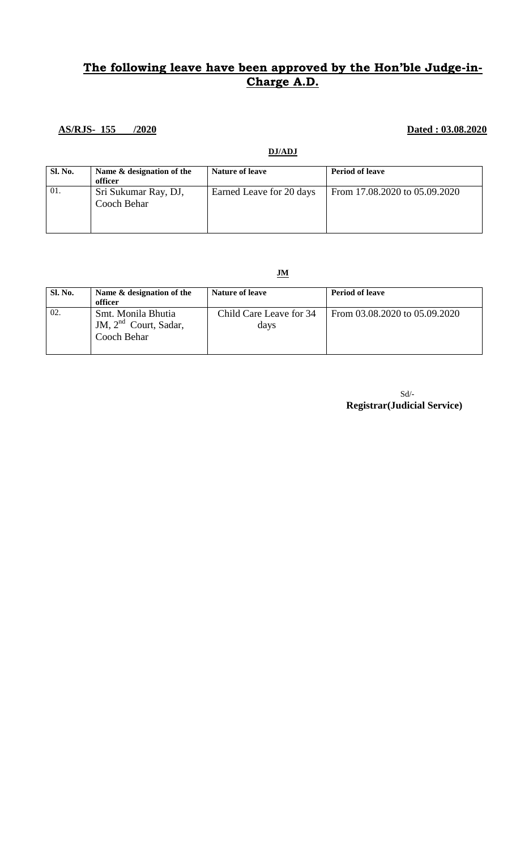## **The following leave have been approved by the Hon'ble Judge-in-Charge A.D.**

### **AS/RJS- 155 /2020 Dated : 03.08.2020**

**DJ/ADJ**

| Sl. No. | Name & designation of the<br>officer | <b>Nature of leave</b>   | <b>Period of leave</b>        |
|---------|--------------------------------------|--------------------------|-------------------------------|
| 01.     | Sri Sukumar Ray, DJ,<br>Cooch Behar  | Earned Leave for 20 days | From 17.08.2020 to 05.09.2020 |

**JM**

| <b>Sl. No.</b> | Name $\&$ designation of the<br>officer                         | <b>Nature of leave</b>          | <b>Period of leave</b>        |
|----------------|-----------------------------------------------------------------|---------------------------------|-------------------------------|
| 02.            | Smt. Monila Bhutia<br>JM, $2^{nd}$ Court, Sadar,<br>Cooch Behar | Child Care Leave for 34<br>days | From 03.08.2020 to 05.09.2020 |

 Sd/- **Registrar(Judicial Service)**